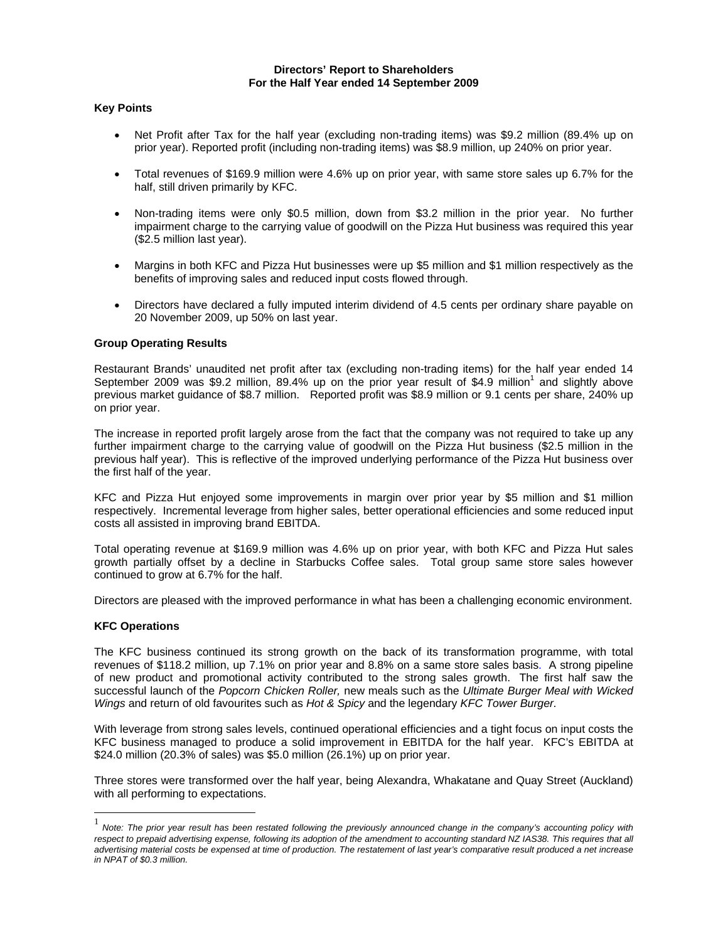## **Directors' Report to Shareholders For the Half Year ended 14 September 2009**

## **Key Points**

- Net Profit after Tax for the half year (excluding non-trading items) was \$9.2 million (89.4% up on prior year). Reported profit (including non-trading items) was \$8.9 million, up 240% on prior year.
- Total revenues of \$169.9 million were 4.6% up on prior year, with same store sales up 6.7% for the half, still driven primarily by KFC.
- Non-trading items were only \$0.5 million, down from \$3.2 million in the prior year. No further impairment charge to the carrying value of goodwill on the Pizza Hut business was required this year (\$2.5 million last year).
- Margins in both KFC and Pizza Hut businesses were up \$5 million and \$1 million respectively as the benefits of improving sales and reduced input costs flowed through.
- Directors have declared a fully imputed interim dividend of 4.5 cents per ordinary share payable on 20 November 2009, up 50% on last year.

# **Group Operating Results**

Restaurant Brands' unaudited net profit after tax (excluding non-trading items) for the half year ended 14 September 2009 was \$9.2 million, 89.4% up on the prior year result of \$4.9 million<sup>1</sup> and slightly above previous market guidance of \$8.7 million. Reported profit was \$8.9 million or 9.1 cents per share, 240% up on prior year.

The increase in reported profit largely arose from the fact that the company was not required to take up any further impairment charge to the carrying value of goodwill on the Pizza Hut business (\$2.5 million in the previous half year). This is reflective of the improved underlying performance of the Pizza Hut business over the first half of the year.

KFC and Pizza Hut enjoyed some improvements in margin over prior year by \$5 million and \$1 million respectively. Incremental leverage from higher sales, better operational efficiencies and some reduced input costs all assisted in improving brand EBITDA.

Total operating revenue at \$169.9 million was 4.6% up on prior year, with both KFC and Pizza Hut sales growth partially offset by a decline in Starbucks Coffee sales. Total group same store sales however continued to grow at 6.7% for the half.

Directors are pleased with the improved performance in what has been a challenging economic environment.

## **KFC Operations**

 $\overline{a}$ 

The KFC business continued its strong growth on the back of its transformation programme, with total revenues of \$118.2 million, up 7.1% on prior year and 8.8% on a same store sales basis. A strong pipeline of new product and promotional activity contributed to the strong sales growth. The first half saw the successful launch of the *Popcorn Chicken Roller,* new meals such as the *Ultimate Burger Meal with Wicked Wings* and return of old favourites such as *Hot & Spicy* and the legendary *KFC Tower Burger.*

With leverage from strong sales levels, continued operational efficiencies and a tight focus on input costs the KFC business managed to produce a solid improvement in EBITDA for the half year. KFC's EBITDA at \$24.0 million (20.3% of sales) was \$5.0 million (26.1%) up on prior year.

Three stores were transformed over the half year, being Alexandra, Whakatane and Quay Street (Auckland) with all performing to expectations.

<sup>&</sup>lt;sup>1</sup> Note: The prior year result has been restated following the previously announced change in the company's accounting policy with respect to prepaid advertising expense, following its adoption of the amendment to accounting standard NZ IAS38. This requires that all *advertising material costs be expensed at time of production. The restatement of last year's comparative result produced a net increase in NPAT of \$0.3 million.*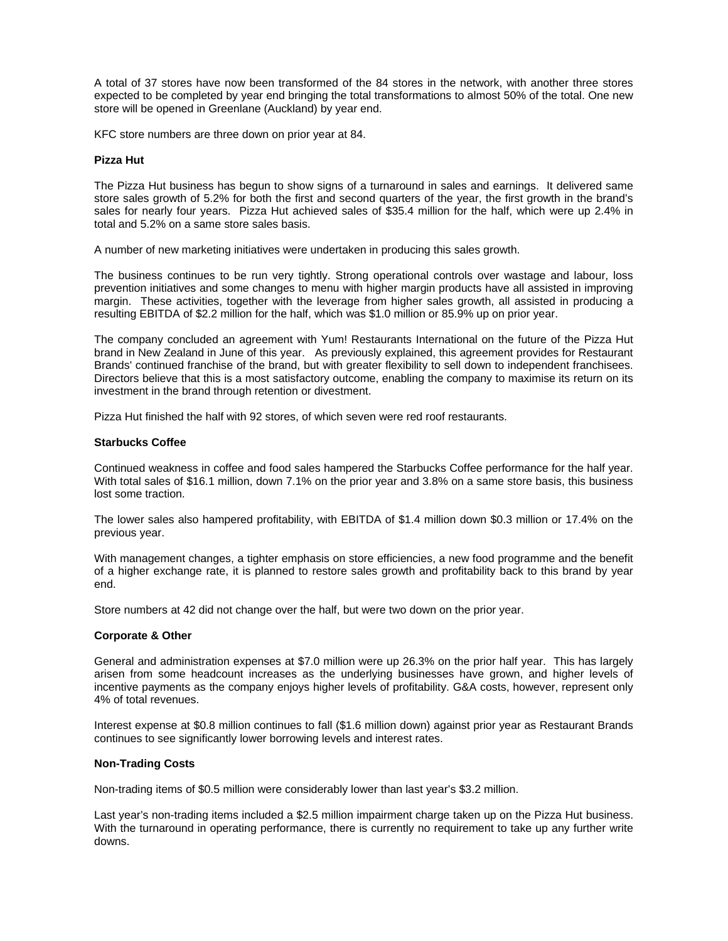A total of 37 stores have now been transformed of the 84 stores in the network, with another three stores expected to be completed by year end bringing the total transformations to almost 50% of the total. One new store will be opened in Greenlane (Auckland) by year end.

KFC store numbers are three down on prior year at 84.

#### **Pizza Hut**

The Pizza Hut business has begun to show signs of a turnaround in sales and earnings. It delivered same store sales growth of 5.2% for both the first and second quarters of the year, the first growth in the brand's sales for nearly four years. Pizza Hut achieved sales of \$35.4 million for the half, which were up 2.4% in total and 5.2% on a same store sales basis.

A number of new marketing initiatives were undertaken in producing this sales growth.

The business continues to be run very tightly. Strong operational controls over wastage and labour, loss prevention initiatives and some changes to menu with higher margin products have all assisted in improving margin. These activities, together with the leverage from higher sales growth, all assisted in producing a resulting EBITDA of \$2.2 million for the half, which was \$1.0 million or 85.9% up on prior year.

The company concluded an agreement with Yum! Restaurants International on the future of the Pizza Hut brand in New Zealand in June of this year. As previously explained, this agreement provides for Restaurant Brands' continued franchise of the brand, but with greater flexibility to sell down to independent franchisees. Directors believe that this is a most satisfactory outcome, enabling the company to maximise its return on its investment in the brand through retention or divestment.

Pizza Hut finished the half with 92 stores, of which seven were red roof restaurants.

## **Starbucks Coffee**

Continued weakness in coffee and food sales hampered the Starbucks Coffee performance for the half year. With total sales of \$16.1 million, down 7.1% on the prior year and 3.8% on a same store basis, this business lost some traction.

The lower sales also hampered profitability, with EBITDA of \$1.4 million down \$0.3 million or 17.4% on the previous year.

With management changes, a tighter emphasis on store efficiencies, a new food programme and the benefit of a higher exchange rate, it is planned to restore sales growth and profitability back to this brand by year end.

Store numbers at 42 did not change over the half, but were two down on the prior year.

## **Corporate & Other**

General and administration expenses at \$7.0 million were up 26.3% on the prior half year. This has largely arisen from some headcount increases as the underlying businesses have grown, and higher levels of incentive payments as the company enjoys higher levels of profitability. G&A costs, however, represent only 4% of total revenues.

Interest expense at \$0.8 million continues to fall (\$1.6 million down) against prior year as Restaurant Brands continues to see significantly lower borrowing levels and interest rates.

## **Non-Trading Costs**

Non-trading items of \$0.5 million were considerably lower than last year's \$3.2 million.

Last year's non-trading items included a \$2.5 million impairment charge taken up on the Pizza Hut business. With the turnaround in operating performance, there is currently no requirement to take up any further write downs.